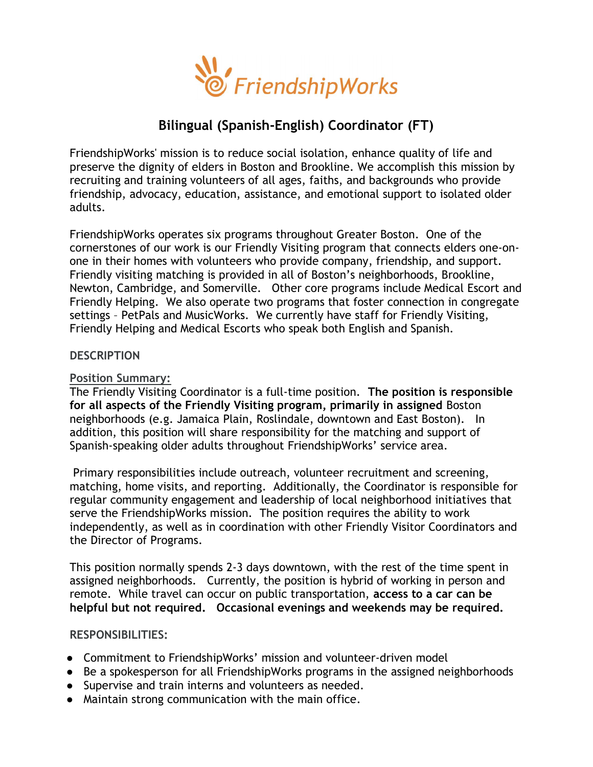

# Bilingual (Spanish-English) Coordinator (FT)

FriendshipWorks' mission is to reduce social isolation, enhance quality of life and preserve the dignity of elders in Boston and Brookline. We accomplish this mission by recruiting and training volunteers of all ages, faiths, and backgrounds who provide friendship, advocacy, education, assistance, and emotional support to isolated older adults.

FriendshipWorks operates six programs throughout Greater Boston. One of the cornerstones of our work is our Friendly Visiting program that connects elders one-onone in their homes with volunteers who provide company, friendship, and support. Friendly visiting matching is provided in all of Boston's neighborhoods, Brookline, Newton, Cambridge, and Somerville. Other core programs include Medical Escort and Friendly Helping. We also operate two programs that foster connection in congregate settings – PetPals and MusicWorks. We currently have staff for Friendly Visiting, Friendly Helping and Medical Escorts who speak both English and Spanish.

#### **DESCRIPTION**

### Position Summary:

The Friendly Visiting Coordinator is a full-time position. The position is responsible for all aspects of the Friendly Visiting program, primarily in assigned Boston neighborhoods (e.g. Jamaica Plain, Roslindale, downtown and East Boston). In addition, this position will share responsibility for the matching and support of Spanish-speaking older adults throughout FriendshipWorks' service area.

 Primary responsibilities include outreach, volunteer recruitment and screening, matching, home visits, and reporting. Additionally, the Coordinator is responsible for regular community engagement and leadership of local neighborhood initiatives that serve the FriendshipWorks mission. The position requires the ability to work independently, as well as in coordination with other Friendly Visitor Coordinators and the Director of Programs.

This position normally spends 2-3 days downtown, with the rest of the time spent in assigned neighborhoods. Currently, the position is hybrid of working in person and remote. While travel can occur on public transportation, access to a car can be helpful but not required. Occasional evenings and weekends may be required.

### RESPONSIBILITIES:

- Commitment to FriendshipWorks' mission and volunteer-driven model
- Be a spokesperson for all FriendshipWorks programs in the assigned neighborhoods
- Supervise and train interns and volunteers as needed.
- Maintain strong communication with the main office.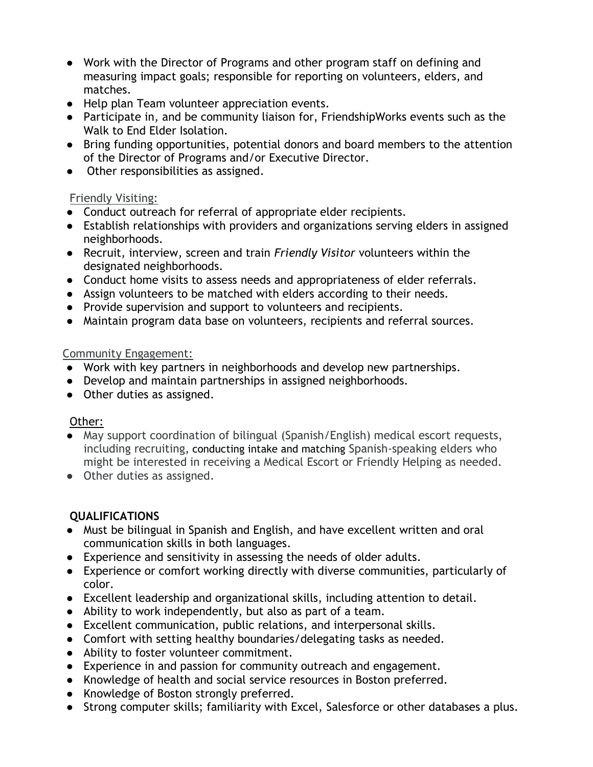- Work with the Director of Programs and other program staff on defining and measuring impact goals; responsible for reporting on volunteers, elders, and matches.
- Help plan Team volunteer appreciation events.
- Participate in, and be community liaison for, FriendshipWorks events such as the Walk to End Elder Isolation.
- Bring funding opportunities, potential donors and board members to the attention of the Director of Programs and/or Executive Director.
- Other responsibilities as assigned.

### Friendly Visiting:

- Conduct outreach for referral of appropriate elder recipients.
- Establish relationships with providers and organizations serving elders in assigned neighborhoods.
- Recruit, interview, screen and train *Friendly Visitor* volunteers within the designated neighborhoods.
- Conduct home visits to assess needs and appropriateness of elder referrals.
- Assign volunteers to be matched with elders according to their needs.
- Provide supervision and support to volunteers and recipients.
- Maintain program data base on volunteers, recipients and referral sources.

### Community Engagement:

- Work with key partners in neighborhoods and develop new partnerships.
- Develop and maintain partnerships in assigned neighborhoods.
- Other duties as assigned.

# Other:

- May support coordination of bilingual (Spanish/English) medical escort requests, including recruiting, conducting intake and matching Spanish-speaking elders who might be interested in receiving a Medical Escort or Friendly Helping as needed.
- Other duties as assigned.

# QUALIFICATIONS

- Must be bilingual in Spanish and English, and have excellent written and oral communication skills in both languages.
- Experience and sensitivity in assessing the needs of older adults.
- Experience or comfort working directly with diverse communities, particularly of color.
- Excellent leadership and organizational skills, including attention to detail.
- Ability to work independently, but also as part of a team.
- Excellent communication, public relations, and interpersonal skills.
- Comfort with setting healthy boundaries/delegating tasks as needed.
- Ability to foster volunteer commitment.
- Experience in and passion for community outreach and engagement.
- Knowledge of health and social service resources in Boston preferred.
- Knowledge of Boston strongly preferred.
- Strong computer skills; familiarity with Excel, Salesforce or other databases a plus.